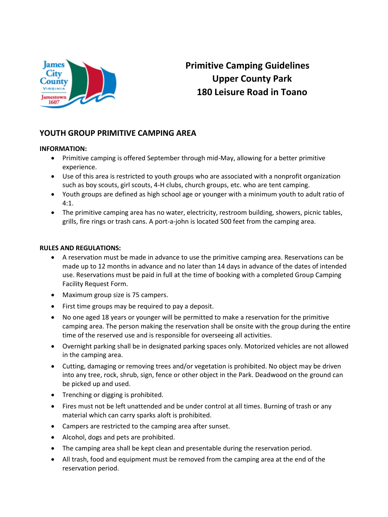

## **Primitive Camping Guidelines Upper County Park 180 Leisure Road in Toano**

### **YOUTH GROUP PRIMITIVE CAMPING AREA**

### **INFORMATION:**

- Primitive camping is offered September through mid-May, allowing for a better primitive experience.
- Use of this area is restricted to youth groups who are associated with a nonprofit organization such as boy scouts, girl scouts, 4-H clubs, church groups, etc. who are tent camping.
- Youth groups are defined as high school age or younger with a minimum youth to adult ratio of 4:1.
- The primitive camping area has no water, electricity, restroom building, showers, picnic tables, grills, fire rings or trash cans. A port-a-john is located 500 feet from the camping area.

### **RULES AND REGULATIONS:**

- A reservation must be made in advance to use the primitive camping area. Reservations can be made up to 12 months in advance and no later than 14 days in advance of the dates of intended use. Reservations must be paid in full at the time of booking with a completed Group Camping Facility Request Form.
- Maximum group size is 75 campers.
- First time groups may be required to pay a deposit.
- No one aged 18 years or younger will be permitted to make a reservation for the primitive camping area. The person making the reservation shall be onsite with the group during the entire time of the reserved use and is responsible for overseeing all activities.
- Overnight parking shall be in designated parking spaces only. Motorized vehicles are not allowed in the camping area.
- Cutting, damaging or removing trees and/or vegetation is prohibited. No object may be driven into any tree, rock, shrub, sign, fence or other object in the Park. Deadwood on the ground can be picked up and used.
- Trenching or digging is prohibited.
- Fires must not be left unattended and be under control at all times. Burning of trash or any material which can carry sparks aloft is prohibited.
- Campers are restricted to the camping area after sunset.
- Alcohol, dogs and pets are prohibited.
- The camping area shall be kept clean and presentable during the reservation period.
- All trash, food and equipment must be removed from the camping area at the end of the reservation period.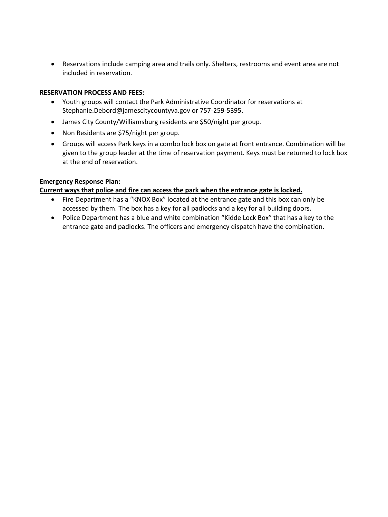Reservations include camping area and trails only. Shelters, restrooms and event area are not included in reservation.

### **RESERVATION PROCESS AND FEES:**

- Youth groups will contact the Park Administrative Coordinator for reservations at Stephanie.Debord@jamescitycountyva.gov or 757-259-5395.
- James City County/Williamsburg residents are \$50/night per group.
- Non Residents are \$75/night per group.
- Groups will access Park keys in a combo lock box on gate at front entrance. Combination will be given to the group leader at the time of reservation payment. Keys must be returned to lock box at the end of reservation.

### **Emergency Response Plan:**

### **Current ways that police and fire can access the park when the entrance gate is locked.**

- Fire Department has a "KNOX Box" located at the entrance gate and this box can only be accessed by them. The box has a key for all padlocks and a key for all building doors.
- Police Department has a blue and white combination "Kidde Lock Box" that has a key to the entrance gate and padlocks. The officers and emergency dispatch have the combination.